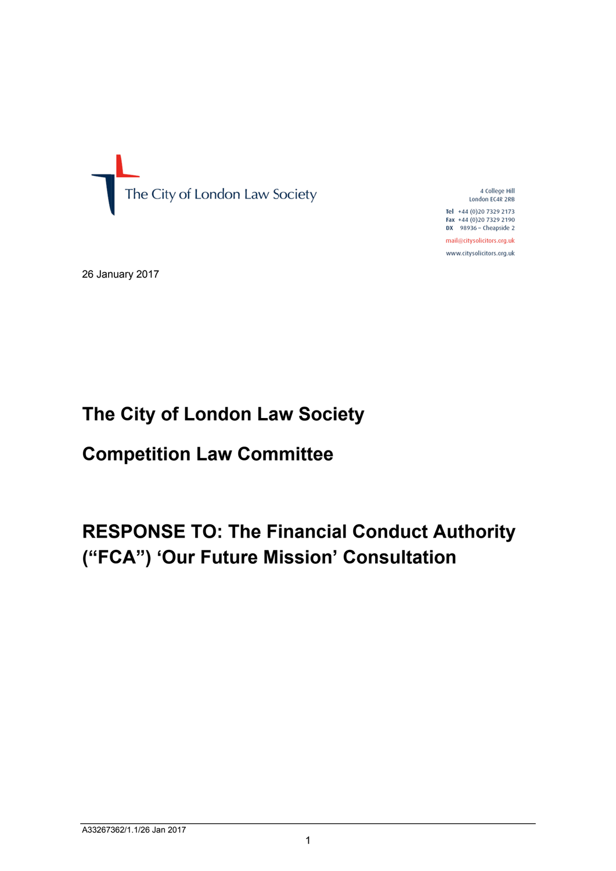

4 College Hill London EC4R 2RB Tel  $+44(0)2073292173$ Fax +44 (0)20 7329 2190  $DX$  98936 - Cheapside 2

mail@citysolicitors.org.uk www.citysolicitors.org.uk

26 January 2017

# **The City of London Law Society Society**

# **Competition Law Committee**

# **RESPONSE TO: The Financial Conduct Authority ("FCA") 'Our Future Mission ' Consultation**The City of London Law Society<br>Competition Law Committee<br>RESPONSE TO: The Financial Co<br>("FCA") 'Our Future Mission' Co<br>A33267362/1.1/26 Jan 2017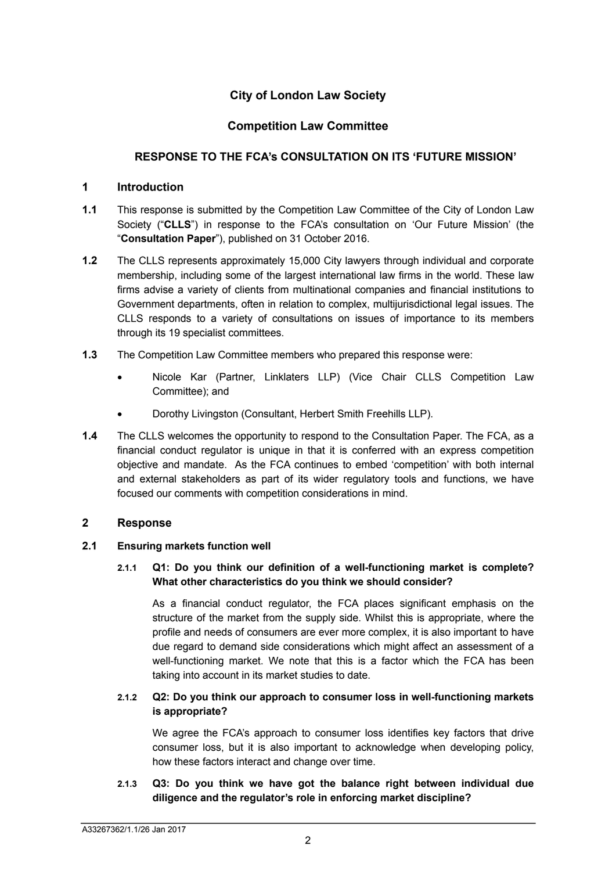# **City of London Law Society**

# **Competition Law Committee**

# **RESPONSE TO THE FCA's CONSULTATION ON ITS 'FUTURE MISSION'**

#### **1 Introduction**

- **1.1** This response is submitted by the Competition Law Committee of the City of London Law Society ("**CLLS**") in response to the FCA's consultation on 'Our Future Mission' (the "**Consultation Paper**"), published on 31 October 2016.
- **1.2** The CLLS represents approximately 15,000 City lawyers through individual and corporate membership, including some of the largest international law firms in the world. These law firms advise a variety of clients from multinational companies and financial institutions to Government departments, often in relation to complex, multijurisdictional legal issues. The CLLS responds to a variety of consultations on issues of importance to its members through its 19 specialist committees.
- **1.3** The Competition Law Committee members who prepared this response were:
	- Nicole Kar (Partner, Linklaters LLP) (Vice Chair CLLS Competition Law Committee); and
	- Dorothy Livingston (Consultant, Herbert Smith Freehills LLP).
- **1.4** The CLLS welcomes the opportunity to respond to the Consultation Paper. The FCA, as a financial conduct regulator is unique in that it is conferred with an express competition objective and mandate. As the FCA continues to embed 'competition' with both internal and external stakeholders as part of its wider regulatory tools and functions, we have focused our comments with competition considerations in mind.

#### **2 Response**

#### **2.1 Ensuring markets function well**

**2.1.1 Q1: Do you think our definition of a well-functioning market is complete? What other characteristics do you think we should consider?** 

As a financial conduct regulator, the FCA places significant emphasis on the structure of the market from the supply side. Whilst this is appropriate, where the profile and needs of consumers are ever more complex, it is also important to have due regard to demand side considerations which might affect an assessment of a well-functioning market. We note that this is a factor which the FCA has been taking into account in its market studies to date.

# **2.1.2 Q2: Do you think our approach to consumer loss in well-functioning markets is appropriate?**

We agree the FCA's approach to consumer loss identifies key factors that drive consumer loss, but it is also important to acknowledge when developing policy, how these factors interact and change over time.

**2.1.3 Q3: Do you think we have got the balance right between individual due diligence and the regulator's role in enforcing market discipline?**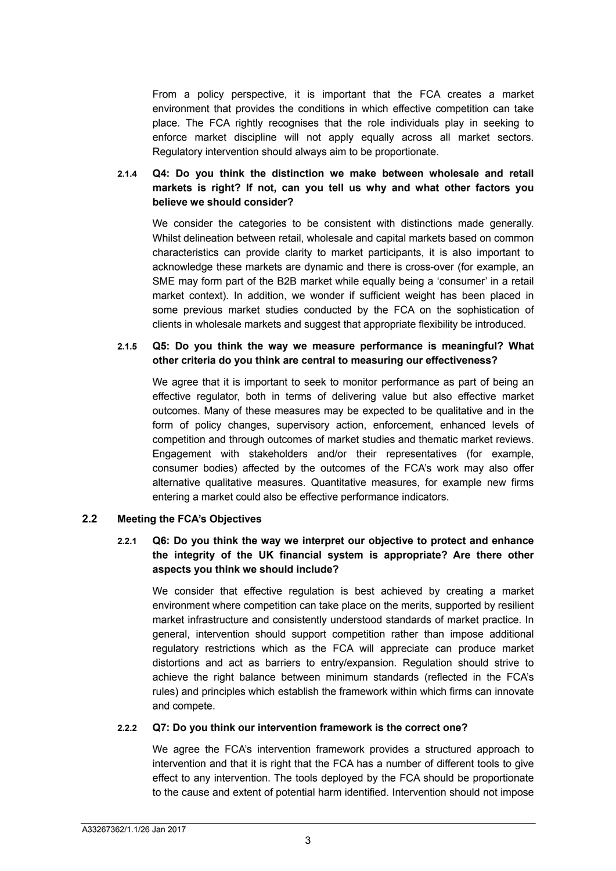From a policy perspective, it is important that the FCA creates a market environment that provides the conditions in which effective competition can take place. The FCA rightly recognises that the role individuals play in seeking to enforce market discipline will not apply equally across all market sectors. Regulatory intervention should always aim to be proportionate.

# **2.1.4 Q4: Do you think the distinction we make between wholesale and retail markets is right? If not, can you tell us why and what other factors you believe we should consider?**

We consider the categories to be consistent with distinctions made generally. Whilst delineation between retail, wholesale and capital markets based on common characteristics can provide clarity to market participants, it is also important to acknowledge these markets are dynamic and there is cross-over (for example, an SME may form part of the B2B market while equally being a 'consumer' in a retail market context). In addition, we wonder if sufficient weight has been placed in some previous market studies conducted by the FCA on the sophistication of clients in wholesale markets and suggest that appropriate flexibility be introduced.

### **2.1.5 Q5: Do you think the way we measure performance is meaningful? What other criteria do you think are central to measuring our effectiveness?**

We agree that it is important to seek to monitor performance as part of being an effective regulator, both in terms of delivering value but also effective market outcomes. Many of these measures may be expected to be qualitative and in the form of policy changes, supervisory action, enforcement, enhanced levels of competition and through outcomes of market studies and thematic market reviews. Engagement with stakeholders and/or their representatives (for example, consumer bodies) affected by the outcomes of the FCA's work may also offer alternative qualitative measures. Quantitative measures, for example new firms entering a market could also be effective performance indicators.

#### **2.2 Meeting the FCA's Objectives**

# **2.2.1 Q6: Do you think the way we interpret our objective to protect and enhance the integrity of the UK financial system is appropriate? Are there other aspects you think we should include?**

We consider that effective regulation is best achieved by creating a market environment where competition can take place on the merits, supported by resilient market infrastructure and consistently understood standards of market practice. In general, intervention should support competition rather than impose additional regulatory restrictions which as the FCA will appreciate can produce market distortions and act as barriers to entry/expansion. Regulation should strive to achieve the right balance between minimum standards (reflected in the FCA's rules) and principles which establish the framework within which firms can innovate and compete.

#### **2.2.2 Q7: Do you think our intervention framework is the correct one?**

We agree the FCA's intervention framework provides a structured approach to intervention and that it is right that the FCA has a number of different tools to give effect to any intervention. The tools deployed by the FCA should be proportionate to the cause and extent of potential harm identified. Intervention should not impose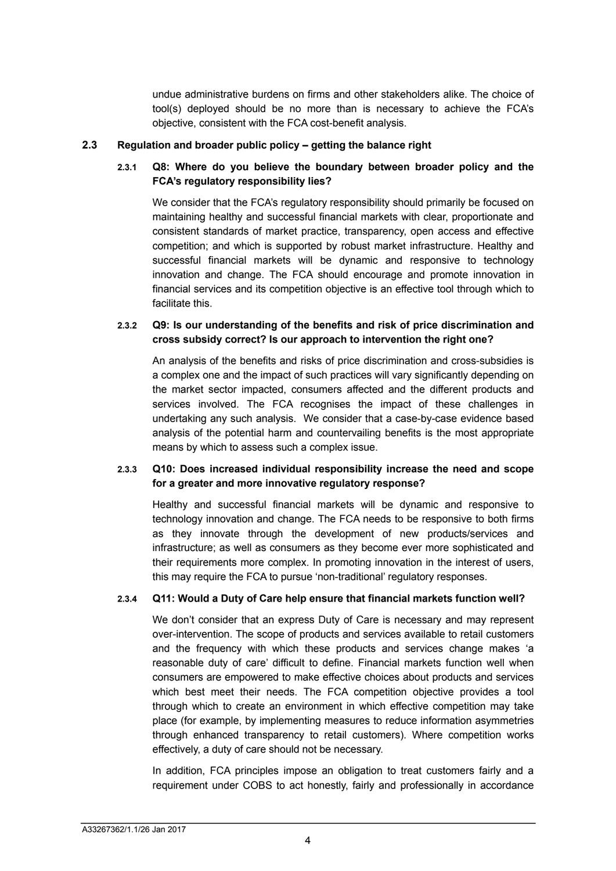undue administrative burdens on firms and other stakeholders alike. The choice of tool(s) deployed should be no more than is necessary to achieve the FCA's objective, consistent with the FCA cost-benefit analysis.

#### **2.3 Regulation and broader public policy – getting the balance right**

# **2.3.1 Q8: Where do you believe the boundary between broader policy and the FCA's regulatory responsibility lies?**

We consider that the FCA's regulatory responsibility should primarily be focused on maintaining healthy and successful financial markets with clear, proportionate and consistent standards of market practice, transparency, open access and effective competition; and which is supported by robust market infrastructure. Healthy and successful financial markets will be dynamic and responsive to technology innovation and change. The FCA should encourage and promote innovation in financial services and its competition objective is an effective tool through which to facilitate this.

# **2.3.2 Q9: Is our understanding of the benefits and risk of price discrimination and cross subsidy correct? Is our approach to intervention the right one?**

An analysis of the benefits and risks of price discrimination and cross-subsidies is a complex one and the impact of such practices will vary significantly depending on the market sector impacted, consumers affected and the different products and services involved. The FCA recognises the impact of these challenges in undertaking any such analysis. We consider that a case-by-case evidence based analysis of the potential harm and countervailing benefits is the most appropriate means by which to assess such a complex issue.

# **2.3.3 Q10: Does increased individual responsibility increase the need and scope for a greater and more innovative regulatory response?**

Healthy and successful financial markets will be dynamic and responsive to technology innovation and change. The FCA needs to be responsive to both firms as they innovate through the development of new products/services and infrastructure; as well as consumers as they become ever more sophisticated and their requirements more complex. In promoting innovation in the interest of users, this may require the FCA to pursue 'non-traditional' regulatory responses.

# **2.3.4 Q11: Would a Duty of Care help ensure that financial markets function well?**

We don't consider that an express Duty of Care is necessary and may represent over-intervention. The scope of products and services available to retail customers and the frequency with which these products and services change makes 'a reasonable duty of care' difficult to define. Financial markets function well when consumers are empowered to make effective choices about products and services which best meet their needs. The FCA competition objective provides a tool through which to create an environment in which effective competition may take place (for example, by implementing measures to reduce information asymmetries through enhanced transparency to retail customers). Where competition works effectively, a duty of care should not be necessary.

In addition, FCA principles impose an obligation to treat customers fairly and a requirement under COBS to act honestly, fairly and professionally in accordance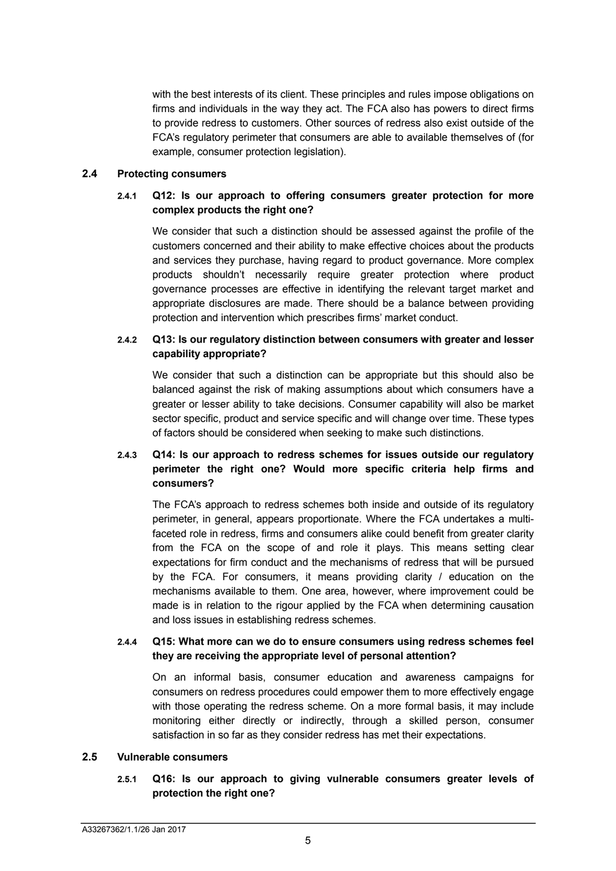with the best interests of its client. These principles and rules impose obligations on firms and individuals in the way they act. The FCA also has powers to direct firms to provide redress to customers. Other sources of redress also exist outside of the FCA's regulatory perimeter that consumers are able to available themselves of (for example, consumer protection legislation).

#### **2.4 Protecting consumers**

# **2.4.1 Q12: Is our approach to offering consumers greater protection for more complex products the right one?**

We consider that such a distinction should be assessed against the profile of the customers concerned and their ability to make effective choices about the products and services they purchase, having regard to product governance. More complex products shouldn't necessarily require greater protection where product governance processes are effective in identifying the relevant target market and appropriate disclosures are made. There should be a balance between providing protection and intervention which prescribes firms' market conduct.

### **2.4.2 Q13: Is our regulatory distinction between consumers with greater and lesser capability appropriate?**

We consider that such a distinction can be appropriate but this should also be balanced against the risk of making assumptions about which consumers have a greater or lesser ability to take decisions. Consumer capability will also be market sector specific, product and service specific and will change over time. These types of factors should be considered when seeking to make such distinctions.

# **2.4.3 Q14: Is our approach to redress schemes for issues outside our regulatory perimeter the right one? Would more specific criteria help firms and consumers?**

The FCA's approach to redress schemes both inside and outside of its regulatory perimeter, in general, appears proportionate. Where the FCA undertakes a multifaceted role in redress, firms and consumers alike could benefit from greater clarity from the FCA on the scope of and role it plays. This means setting clear expectations for firm conduct and the mechanisms of redress that will be pursued by the FCA. For consumers, it means providing clarity / education on the mechanisms available to them. One area, however, where improvement could be made is in relation to the rigour applied by the FCA when determining causation and loss issues in establishing redress schemes.

#### **2.4.4 Q15: What more can we do to ensure consumers using redress schemes feel they are receiving the appropriate level of personal attention?**

On an informal basis, consumer education and awareness campaigns for consumers on redress procedures could empower them to more effectively engage with those operating the redress scheme. On a more formal basis, it may include monitoring either directly or indirectly, through a skilled person, consumer satisfaction in so far as they consider redress has met their expectations.

#### **2.5 Vulnerable consumers**

# **2.5.1 Q16: Is our approach to giving vulnerable consumers greater levels of protection the right one?**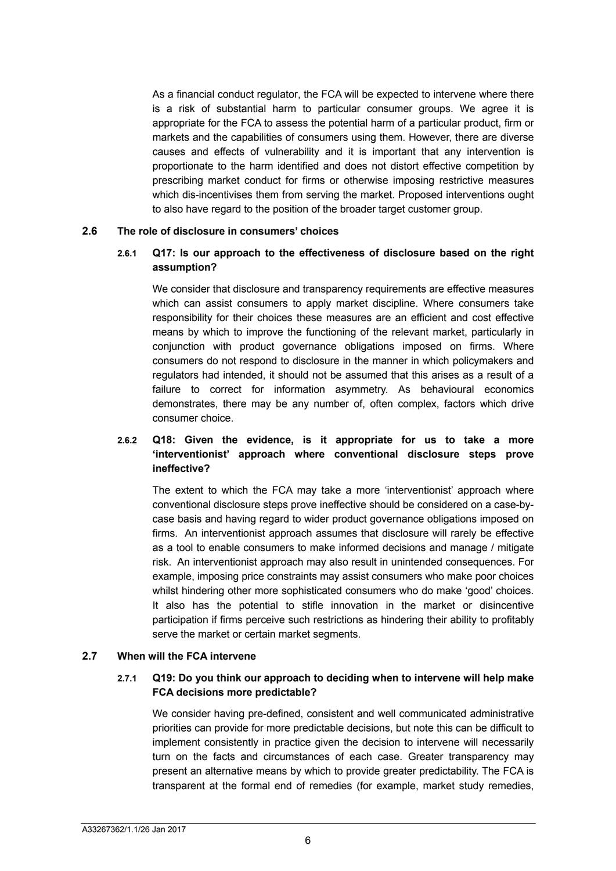As a financial conduct regulator, the FCA will be expected to intervene where there is a risk of substantial harm to particular consumer groups. We agree it is appropriate for the FCA to assess the potential harm of a particular product, firm or markets and the capabilities of consumers using them. However, there are diverse causes and effects of vulnerability and it is important that any intervention is proportionate to the harm identified and does not distort effective competition by prescribing market conduct for firms or otherwise imposing restrictive measures which dis-incentivises them from serving the market. Proposed interventions ought to also have regard to the position of the broader target customer group.

#### **2.6 The role of disclosure in consumers' choices**

# **2.6.1 Q17: Is our approach to the effectiveness of disclosure based on the right assumption?**

We consider that disclosure and transparency requirements are effective measures which can assist consumers to apply market discipline. Where consumers take responsibility for their choices these measures are an efficient and cost effective means by which to improve the functioning of the relevant market, particularly in conjunction with product governance obligations imposed on firms. Where consumers do not respond to disclosure in the manner in which policymakers and regulators had intended, it should not be assumed that this arises as a result of a failure to correct for information asymmetry. As behavioural economics demonstrates, there may be any number of, often complex, factors which drive consumer choice.

# **2.6.2 Q18: Given the evidence, is it appropriate for us to take a more 'interventionist' approach where conventional disclosure steps prove ineffective?**

The extent to which the FCA may take a more 'interventionist' approach where conventional disclosure steps prove ineffective should be considered on a case-bycase basis and having regard to wider product governance obligations imposed on firms. An interventionist approach assumes that disclosure will rarely be effective as a tool to enable consumers to make informed decisions and manage / mitigate risk. An interventionist approach may also result in unintended consequences. For example, imposing price constraints may assist consumers who make poor choices whilst hindering other more sophisticated consumers who do make 'good' choices. It also has the potential to stifle innovation in the market or disincentive participation if firms perceive such restrictions as hindering their ability to profitably serve the market or certain market segments.

#### **2.7 When will the FCA intervene**

#### **2.7.1 Q19: Do you think our approach to deciding when to intervene will help make FCA decisions more predictable?**

We consider having pre-defined, consistent and well communicated administrative priorities can provide for more predictable decisions, but note this can be difficult to implement consistently in practice given the decision to intervene will necessarily turn on the facts and circumstances of each case. Greater transparency may present an alternative means by which to provide greater predictability. The FCA is transparent at the formal end of remedies (for example, market study remedies,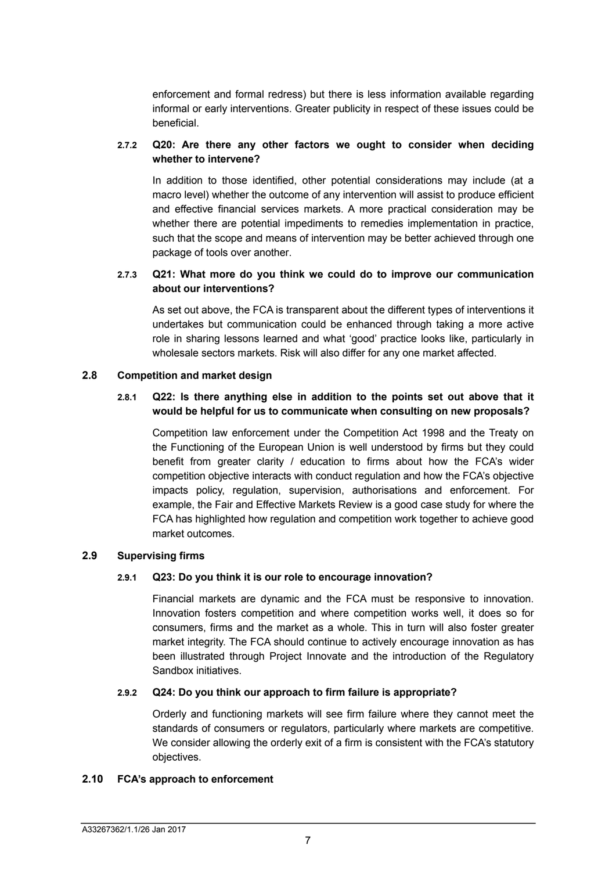enforcement and formal redress) but there is less information available regarding informal or early interventions. Greater publicity in respect of these issues could be beneficial.

#### **2.7.2 Q20: Are there any other factors we ought to consider when deciding whether to intervene?**

In addition to those identified, other potential considerations may include (at a macro level) whether the outcome of any intervention will assist to produce efficient and effective financial services markets. A more practical consideration may be whether there are potential impediments to remedies implementation in practice, such that the scope and means of intervention may be better achieved through one package of tools over another.

### **2.7.3 Q21: What more do you think we could do to improve our communication about our interventions?**

As set out above, the FCA is transparent about the different types of interventions it undertakes but communication could be enhanced through taking a more active role in sharing lessons learned and what 'good' practice looks like, particularly in wholesale sectors markets. Risk will also differ for any one market affected.

#### **2.8 Competition and market design**

# **2.8.1 Q22: Is there anything else in addition to the points set out above that it would be helpful for us to communicate when consulting on new proposals?**

Competition law enforcement under the Competition Act 1998 and the Treaty on the Functioning of the European Union is well understood by firms but they could benefit from greater clarity / education to firms about how the FCA's wider competition objective interacts with conduct regulation and how the FCA's objective impacts policy, regulation, supervision, authorisations and enforcement. For example, the Fair and Effective Markets Review is a good case study for where the FCA has highlighted how regulation and competition work together to achieve good market outcomes.

#### **2.9 Supervising firms**

#### **2.9.1 Q23: Do you think it is our role to encourage innovation?**

Financial markets are dynamic and the FCA must be responsive to innovation. Innovation fosters competition and where competition works well, it does so for consumers, firms and the market as a whole. This in turn will also foster greater market integrity. The FCA should continue to actively encourage innovation as has been illustrated through Project Innovate and the introduction of the Regulatory Sandbox initiatives.

#### **2.9.2 Q24: Do you think our approach to firm failure is appropriate?**

Orderly and functioning markets will see firm failure where they cannot meet the standards of consumers or regulators, particularly where markets are competitive. We consider allowing the orderly exit of a firm is consistent with the FCA's statutory objectives.

#### **2.10 FCA's approach to enforcement**